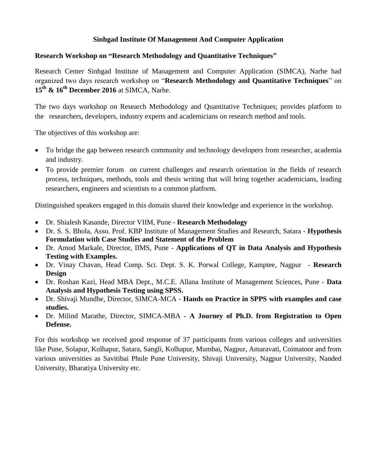## **Research Workshop on "Research Methodology and Quantitative Techniques"**

Research Center Sinhgad Institute of Management and Computer Application (SIMCA), Narhe had organized two days research workshop on "**Research Methodology and Quantitative Techniques**" on **15th & 16th December 2016** at SIMCA, Narhe.

The two days workshop on Research Methodology and Quantitative Techniques; provides platform to the researchers, developers, industry experts and academicians on research method and tools.

The objectives of this workshop are:

- To bridge the gap between research community and technology developers from researcher, academia and industry.
- To provide premier forum on current challenges and research orientation in the fields of research process, techniques, methods, tools and thesis writing that will bring together academicians, leading researchers, engineers and scientists to a common platform.

Distinguished speakers engaged in this domain shared their knowledge and experience in the workshop.

- Dr. Shialesh Kasande, Director VIIM, Pune **Research Methodology**
- Dr. S. S. Bhola, Asso. Prof. KBP Institute of Management Studies and Research, Satara **Hypothesis Formulation with Case Studies and Statement of the Problem**
- Dr. Amod Markale, Director, IIMS, Pune **Applications of QT in Data Analysis and Hypothesis Testing with Examples.**
- Dr. Vinay Chavan, Head Comp. Sci. Dept. S. K. Porwal College, Kamptee, Nagpur **Research Design**
- Dr. Roshan Kazi, Head MBA Dept., M.C.E. Allana Institute of Management Sciences, Pune **Data Analysis and Hypothesis Testing using SPSS.**
- Dr. Shivaji Mundhe, Director, SIMCA-MCA **Hands on Practice in SPPS with examples and case studies.**
- Dr. Milind Marathe, Director, SIMCA-MBA **A Journey of Ph.D. from Registration to Open Defense.**

For this workshop we received good response of 37 participants from various colleges and universities like Pune, Solapur, Kolhapur, Satara, Sangli, Kolhapur, Mumbai, Nagpur, Amaravati, Coimatoor and from various universities as Savitibai Phule Pune University, Shivaji University, Nagpur University, Nanded University, Bharatiya University etc.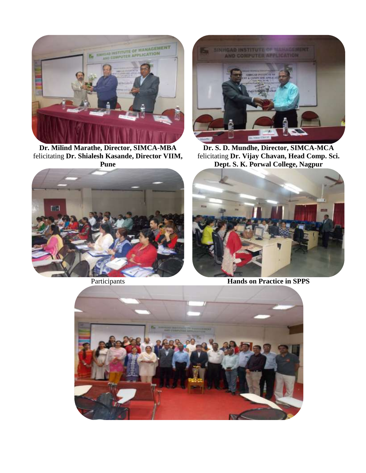

**Dr. Milind Marathe, Director, SIMCA-MBA** felicitating **Dr. Shialesh Kasande, Director VIIM, Pune**





**Dr. S. D. Mundhe, Director, SIMCA-MCA** felicitating **Dr. Vijay Chavan, Head Comp. Sci. Dept. S. K. Porwal College, Nagpur**



Participants **Hands on Practice in SPPS**

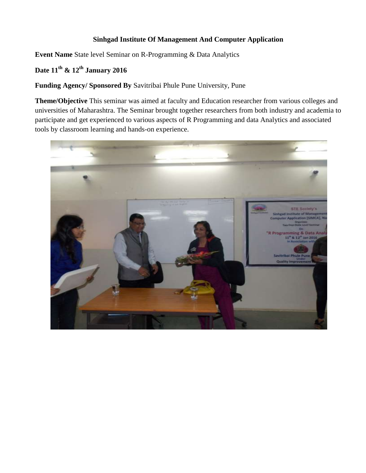**Event Name** State level Seminar on R-Programming & Data Analytics

**Date 11th & 12th January 2016**

**Funding Agency/ Sponsored By** Savitribai Phule Pune University, Pune

**Theme/Objective** This seminar was aimed at faculty and Education researcher from various colleges and universities of Maharashtra. The Seminar brought together researchers from both industry and academia to participate and get experienced to various aspects of R Programming and data Analytics and associated tools by classroom learning and hands-on experience.

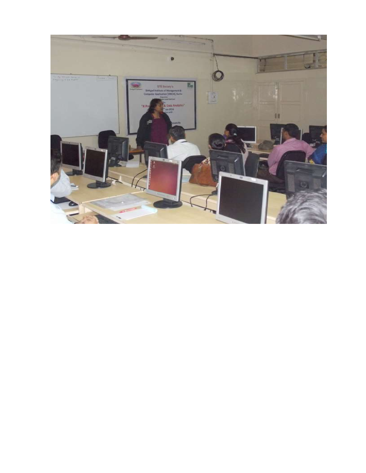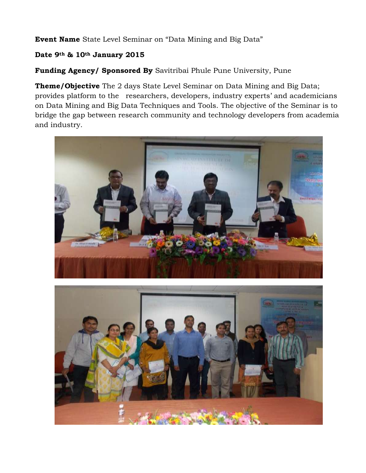**Event Name** State Level Seminar on "Data Mining and Big Data"

## **Date 9th & 10th January 2015**

**Funding Agency/ Sponsored By** Savitribai Phule Pune University, Pune

**Theme/Objective** The 2 days State Level Seminar on Data Mining and Big Data; provides platform to the researchers, developers, industry experts' and academicians on Data Mining and Big Data Techniques and Tools. The objective of the Seminar is to bridge the gap between research community and technology developers from academia and industry.



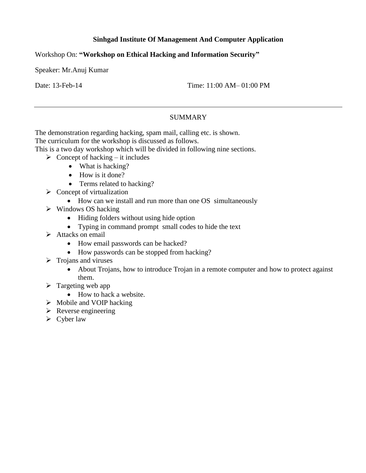## Workshop On: **"Workshop on Ethical Hacking and Information Security"**

Speaker: Mr.Anuj Kumar

Date: 13-Feb-14 Time: 11:00 AM– 01:00 PM

## SUMMARY

The demonstration regarding hacking, spam mail, calling etc. is shown.

The curriculum for the workshop is discussed as follows.

This is a two day workshop which will be divided in following nine sections.

- $\triangleright$  Concept of hacking it includes
	- What is hacking?
	- How is it done?
	- Terms related to hacking?
- $\triangleright$  Concept of virtualization
	- How can we install and run more than one OS simultaneously
- $\triangleright$  Windows OS hacking
	- Hiding folders without using hide option
	- Typing in command prompt small codes to hide the text
- $\triangleright$  Attacks on email
	- How email passwords can be hacked?
	- How passwords can be stopped from hacking?
- $\triangleright$  Trojans and viruses
	- About Trojans, how to introduce Trojan in a remote computer and how to protect against them.
- $\triangleright$  Targeting web app
	- How to hack a website.
- $\triangleright$  Mobile and VOIP hacking
- $\triangleright$  Reverse engineering
- $\triangleright$  Cyber law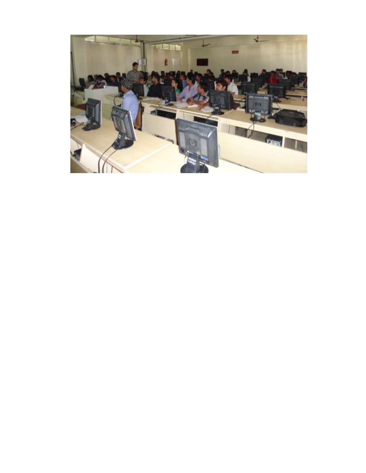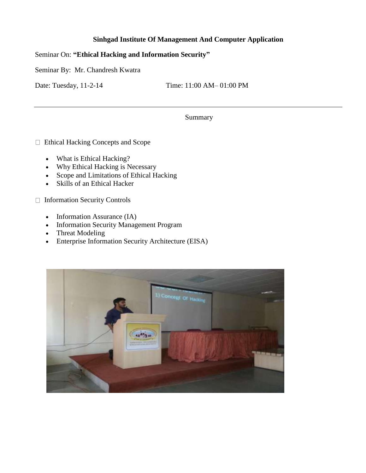#### Seminar On: **"Ethical Hacking and Information Security"**

Seminar By: Mr. Chandresh Kwatra

Date: Tuesday, 11-2-14 Time: 11:00 AM– 01:00 PM

Summary

□ Ethical Hacking Concepts and Scope

- What is Ethical Hacking?
- Why Ethical Hacking is Necessary
- Scope and Limitations of Ethical Hacking
- Skills of an Ethical Hacker

Information Security Controls

- Information Assurance (IA)
- Information Security Management Program
- Threat Modeling
- Enterprise Information Security Architecture (EISA)

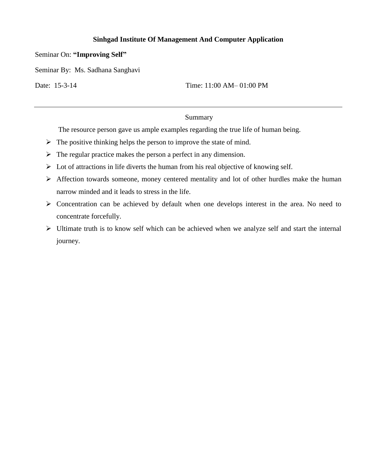Seminar On: **"Improving Self"** 

Seminar By: Ms. Sadhana Sanghavi

Date: 15-3-14 Time: 11:00 AM– 01:00 PM

#### Summary

The resource person gave us ample examples regarding the true life of human being.

- $\triangleright$  The positive thinking helps the person to improve the state of mind.
- $\triangleright$  The regular practice makes the person a perfect in any dimension.
- $\triangleright$  Lot of attractions in life diverts the human from his real objective of knowing self.
- $\triangleright$  Affection towards someone, money centered mentality and lot of other hurdles make the human narrow minded and it leads to stress in the life.
- $\triangleright$  Concentration can be achieved by default when one develops interest in the area. No need to concentrate forcefully.
- $\triangleright$  Ultimate truth is to know self which can be achieved when we analyze self and start the internal journey.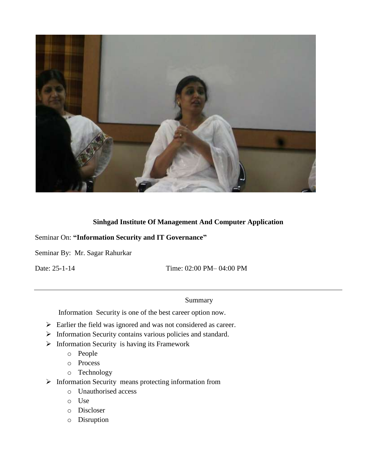

Seminar On: **"Information Security and IT Governance"** 

Seminar By: Mr. Sagar Rahurkar

Date: 25-1-14 Time: 02:00 PM– 04:00 PM

#### Summary

Information Security is one of the best career option now.

- $\triangleright$  Earlier the field was ignored and was not considered as career.
- > Information Security contains various policies and standard.
- $\triangleright$  Information Security is having its Framework
	- o People
	- o Process
	- o Technology
- Information Security means protecting information from
	- o Unauthorised access
	- o Use
	- o Discloser
	- o Disruption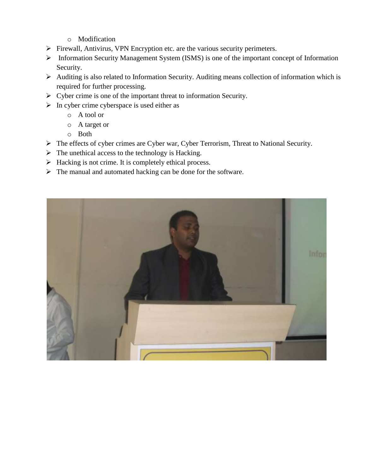- o Modification
- Firewall, Antivirus, VPN Encryption etc. are the various security perimeters.
- Information Security Management System (ISMS) is one of the important concept of Information Security.
- $\triangleright$  Auditing is also related to Information Security. Auditing means collection of information which is required for further processing.
- $\triangleright$  Cyber crime is one of the important threat to information Security.
- $\triangleright$  In cyber crime cyberspace is used either as
	- o A tool or
	- o A target or
	- o Both
- The effects of cyber crimes are Cyber war, Cyber Terrorism, Threat to National Security.
- $\triangleright$  The unethical access to the technology is Hacking.
- $\triangleright$  Hacking is not crime. It is completely ethical process.
- $\triangleright$  The manual and automated hacking can be done for the software.

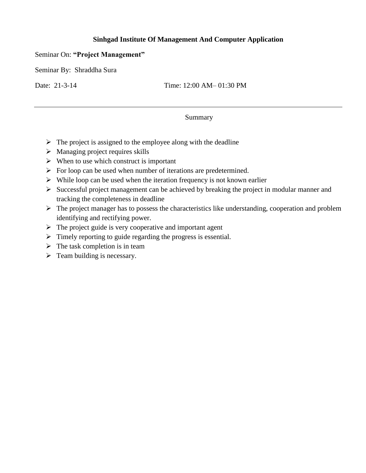### Seminar On: **"Project Management"**

Seminar By: Shraddha Sura

Date: 21-3-14 Time: 12:00 AM– 01:30 PM

#### Summary

- $\triangleright$  The project is assigned to the employee along with the deadline
- $\triangleright$  Managing project requires skills
- $\triangleright$  When to use which construct is important
- $\triangleright$  For loop can be used when number of iterations are predetermined.
- $\triangleright$  While loop can be used when the iteration frequency is not known earlier
- $\triangleright$  Successful project management can be achieved by breaking the project in modular manner and tracking the completeness in deadline
- $\triangleright$  The project manager has to possess the characteristics like understanding, cooperation and problem identifying and rectifying power.
- $\triangleright$  The project guide is very cooperative and important agent
- $\triangleright$  Timely reporting to guide regarding the progress is essential.
- $\triangleright$  The task completion is in team
- $\triangleright$  Team building is necessary.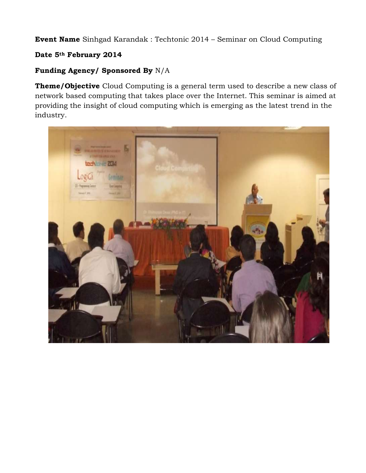**Event Name** Sinhgad Karandak : Techtonic 2014 – Seminar on Cloud Computing

**Date 5th February 2014**

# **Funding Agency/ Sponsored By** N/A

**Theme/Objective** Cloud Computing is a general term used to describe a new class of network based computing that takes place over the Internet. This seminar is aimed at providing the insight of cloud computing which is emerging as the latest trend in the industry.

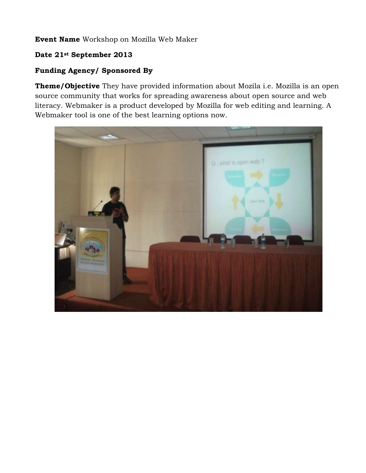## **Event Name** Workshop on Mozilla Web Maker

## **Date 21st September 2013**

# **Funding Agency/ Sponsored By**

**Theme/Objective** They have provided information about Mozila i.e. Mozilla is an open source community that works for spreading awareness about open source and web literacy. Webmaker is a product developed by Mozilla for web editing and learning. A Webmaker tool is one of the best learning options now.